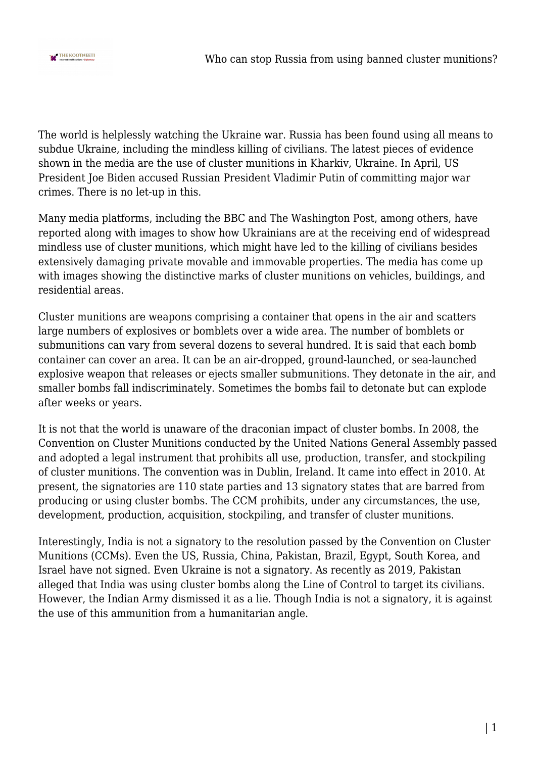

The world is helplessly watching the Ukraine war. Russia has been found using all means to subdue Ukraine, including the mindless killing of civilians. The latest pieces of evidence shown in the media are the use of cluster munitions in Kharkiv, Ukraine. In April, US President Joe Biden accused Russian President Vladimir Putin of committing major war crimes. There is no let-up in this.

Many media platforms, including the BBC and The Washington Post, among others, have reported along with images to show how Ukrainians are at the receiving end of widespread mindless use of cluster munitions, which might have led to the killing of civilians besides extensively damaging private movable and immovable properties. The media has come up with images showing the distinctive marks of cluster munitions on vehicles, buildings, and residential areas.

Cluster munitions are weapons comprising a container that opens in the air and scatters large numbers of explosives or bomblets over a wide area. The number of bomblets or submunitions can vary from several dozens to several hundred. It is said that each bomb container can cover an area. It can be an air-dropped, ground-launched, or sea-launched explosive weapon that releases or ejects smaller submunitions. They detonate in the air, and smaller bombs fall indiscriminately. Sometimes the bombs fail to detonate but can explode after weeks or years.

It is not that the world is unaware of the draconian impact of cluster bombs. In 2008, the Convention on Cluster Munitions conducted by the United Nations General Assembly passed and adopted a legal instrument that prohibits all use, production, transfer, and stockpiling of cluster munitions. The convention was in Dublin, Ireland. It came into effect in 2010. At present, the signatories are 110 state parties and 13 signatory states that are barred from producing or using cluster bombs. The CCM prohibits, under any circumstances, the use, development, production, acquisition, stockpiling, and transfer of cluster munitions.

Interestingly, India is not a signatory to the resolution passed by the Convention on Cluster Munitions (CCMs). Even the US, Russia, China, Pakistan, Brazil, Egypt, South Korea, and Israel have not signed. Even Ukraine is not a signatory. As recently as 2019, Pakistan alleged that India was using cluster bombs along the Line of Control to target its civilians. However, the Indian Army dismissed it as a lie. Though India is not a signatory, it is against the use of this ammunition from a humanitarian angle.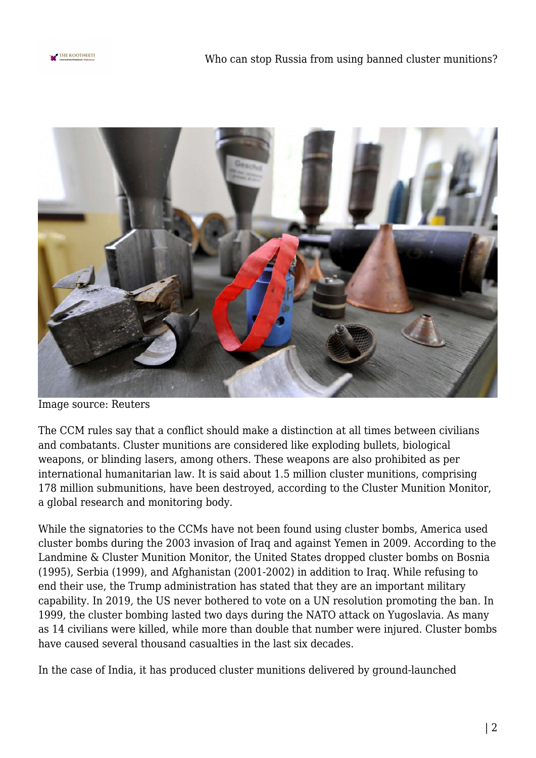



Image source: Reuters

The CCM rules say that a conflict should make a distinction at all times between civilians and combatants. Cluster munitions are considered like exploding bullets, biological weapons, or blinding lasers, among others. These weapons are also prohibited as per international humanitarian law. It is said about 1.5 million cluster munitions, comprising 178 million submunitions, have been destroyed, according to the Cluster Munition Monitor, a global research and monitoring body.

While the signatories to the CCMs have not been found using cluster bombs, America used cluster bombs during the 2003 invasion of Iraq and against Yemen in 2009. According to the Landmine & Cluster Munition Monitor, the United States dropped cluster bombs on Bosnia (1995), Serbia (1999), and Afghanistan (2001-2002) in addition to Iraq. While refusing to end their use, the Trump administration has stated that they are an important military capability. In 2019, the US never bothered to vote on a UN resolution promoting the ban. In 1999, the cluster bombing lasted two days during the NATO attack on Yugoslavia. As many as 14 civilians were killed, while more than double that number were injured. Cluster bombs have caused several thousand casualties in the last six decades.

In the case of India, it has produced cluster munitions delivered by ground-launched